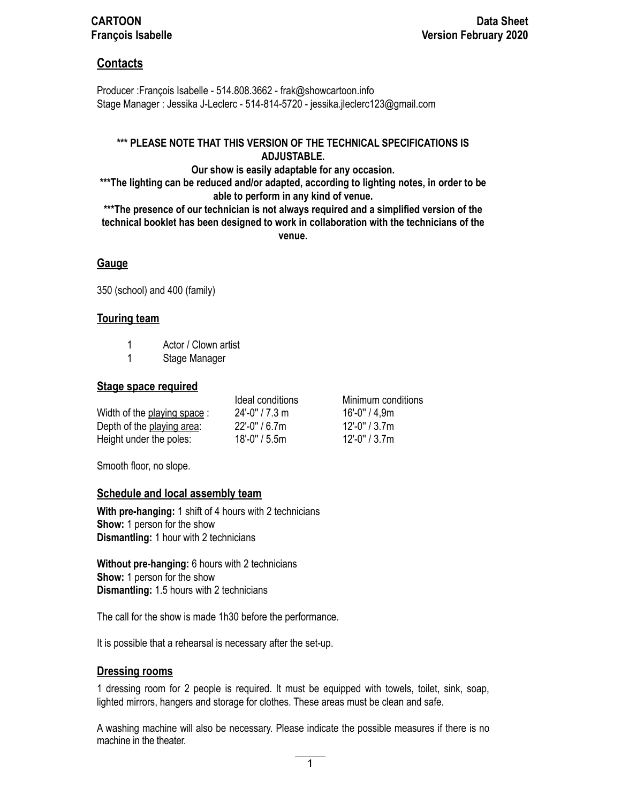## **CARTOON** Data Sheet **François Isabelle Version February 2020**

## **Contacts**

Producer :François Isabelle - 514.808.3662 - frak@showcartoon.info Stage Manager : Jessika J-Leclerc - 514-814-5720 - jessika.jleclerc123@gmail.com

#### **\*\*\* PLEASE NOTE THAT THIS VERSION OF THE TECHNICAL SPECIFICATIONS IS ADJUSTABLE.**

**Our show is easily adaptable for any occasion. \*\*\*The lighting can be reduced and/or adapted, according to lighting notes, in order to be able to perform in any kind of venue.** 

**\*\*\*The presence of our technician is not always required and a simplified version of the technical booklet has been designed to work in collaboration with the technicians of the venue.**

#### **Gauge**

350 (school) and 400 (family)

#### **Touring team**

- 1 Actor / Clown artist
- 1 Stage Manager

#### **Stage space required**

|                             | Ideal conditions  | Minimum conditions |
|-----------------------------|-------------------|--------------------|
| Width of the playing space: | $24'$ -0" / 7.3 m | 16'-0" / 4.9m      |
| Depth of the playing area:  | $22'$ -0" / 6.7m  | $12'$ -0" / 3.7m   |
| Height under the poles:     | $18'$ -0" / 5.5m  | $12'$ -0" / 3.7m   |

Smooth floor, no slope.

### **Schedule and local assembly team**

**With pre-hanging:** 1 shift of 4 hours with 2 technicians **Show:** 1 person for the show **Dismantling:** 1 hour with 2 technicians

**Without pre-hanging:** 6 hours with 2 technicians **Show:** 1 person for the show **Dismantling:** 1.5 hours with 2 technicians

The call for the show is made 1h30 before the performance.

It is possible that a rehearsal is necessary after the set-up.

### **Dressing rooms**

1 dressing room for 2 people is required. It must be equipped with towels, toilet, sink, soap, lighted mirrors, hangers and storage for clothes. These areas must be clean and safe.

A washing machine will also be necessary. Please indicate the possible measures if there is no machine in the theater.